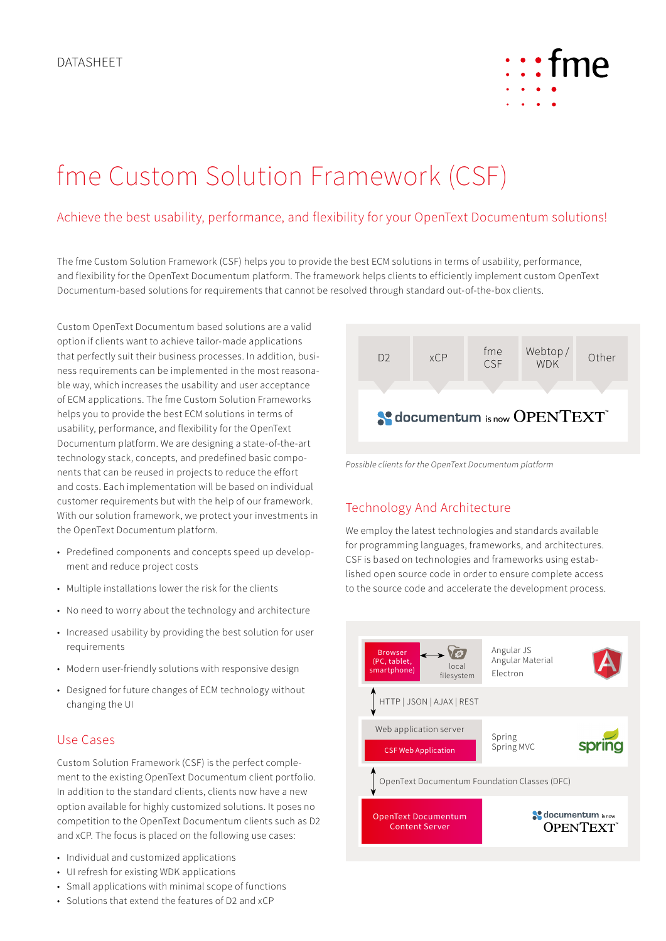

# fme Custom Solution Framework (CSF)

# Achieve the best usability, performance, and flexibility for your OpenText Documentum solutions!

The fme Custom Solution Framework (CSF) helps you to provide the best ECM solutions in terms of usability, performance, and flexibility for the OpenText Documentum platform. The framework helps clients to efficiently implement custom OpenText Documentum-based solutions for requirements that cannot be resolved through standard out-of-the-box clients.

Custom OpenText Documentum based solutions are a valid option if clients want to achieve tailor-made applications that perfectly suit their business processes. In addition, business requirements can be implemented in the most reasonable way, which increases the usability and user acceptance of ECM applications. The fme Custom Solution Frameworks helps you to provide the best ECM solutions in terms of usability, performance, and flexibility for the OpenText Documentum platform. We are designing a state-of-the-art technology stack, concepts, and predefined basic components that can be reused in projects to reduce the effort and costs. Each implementation will be based on individual customer requirements but with the help of our framework. With our solution framework, we protect your investments in the OpenText Documentum platform.

- Predefined components and concepts speed up development and reduce project costs
- Multiple installations lower the risk for the clients
- No need to worry about the technology and architecture
- Increased usability by providing the best solution for user requirements
- Modern user-friendly solutions with responsive design
- Designed for future changes of ECM technology without changing the UI

## Use Cases

Custom Solution Framework (CSF) is the perfect complement to the existing OpenText Documentum client portfolio. In addition to the standard clients, clients now have a new option available for highly customized solutions. It poses no competition to the OpenText Documentum clients such as D2 and xCP. The focus is placed on the following use cases:

- Individual and customized applications
- UI refresh for existing WDK applications
- Small applications with minimal scope of functions
- Solutions that extend the features of D2 and xCP



*Possible clients for the OpenText Documentum platform*

## Technology And Architecture

We employ the latest technologies and standards available for programming languages, frameworks, and architectures. CSF is based on technologies and frameworks using established open source code in order to ensure complete access to the source code and accelerate the development process.